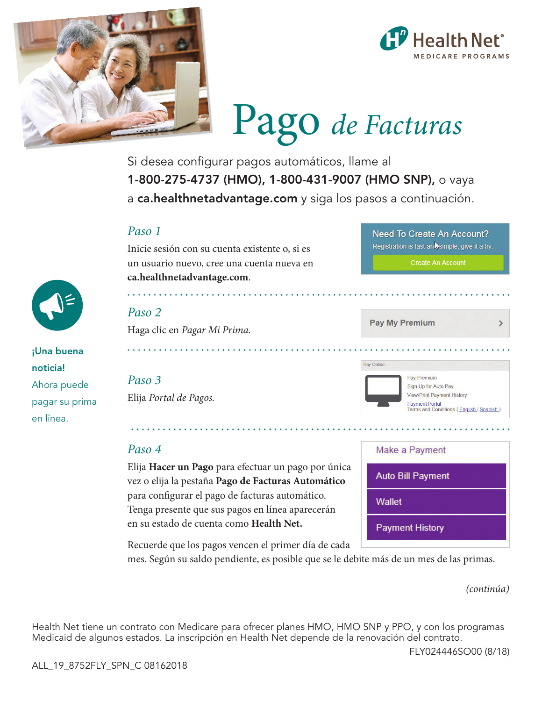



# Pago *de Facturas*

Si desea configurar pagos automáticos, llame al 1-800-275-4737 (HMO), 1-800-431-9007 (HMO SNP), o vaya a ca.healthnetadvantage.com y siga los pasos a continuación.

### *Paso 1*

#### Inicie sesión con su cuenta existente o, si es un usuario nuevo, cree una cuenta nueva en **ca.healthnetadvantage.com**.

¡Una buena noticia! Ahora puede pagar su prima en línea.

# *Paso 2*

Haga clic en *Pagar Mi Prima.* 

# *Paso 3*

Elija *Portal de Pagos.* 

### *Paso 4*

Elija **Hacer un Pago** para efectuar un pago por única vez o elija la pestaña **Pago de Facturas Automático** para configurar el pago de facturas automático. Tenga presente que sus pagos en línea aparecerán en su estado de cuenta como **Health Net.** 

Recuerde que los pagos vencen el primer día de cada

mes. Según su saldo pendiente, es posible que se le debite más de un mes de las primas.

*(continúa)* 

 $\overline{\phantom{0}}$ 

Health Net tiene un contrato con Medicare para ofrecer planes HMO, HMO SNP y PPO, y con los programas Medicaid de algunos estados. La inscripción en Health Net depende de la renovación del contrato.

FLY024446SO00 (8/18)



**Pay My Premium** 

Need To Create An Account? Registration is fast an simple, give it a try.

| Make a Payment           |  |
|--------------------------|--|
| <b>Auto Bill Payment</b> |  |
| Wallet                   |  |
| <b>Payment History</b>   |  |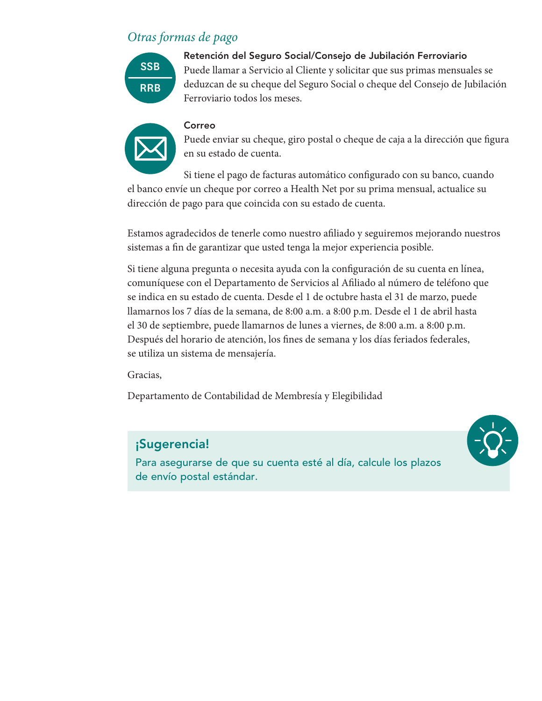# *Otras formas de pago*



Retención del Seguro Social/Consejo de Jubilación Ferroviario Puede llamar a Servicio al Cliente y solicitar que sus primas mensuales se deduzcan de su cheque del Seguro Social o cheque del Consejo de Jubilación Ferroviario todos los meses.



Correo Puede enviar su cheque, giro postal o cheque de caja a la dirección que figura en su estado de cuenta.

Si tiene el pago de facturas automático configurado con su banco, cuando el banco envíe un cheque por correo a Health Net por su prima mensual, actualice su dirección de pago para que coincida con su estado de cuenta.

Estamos agradecidos de tenerle como nuestro afiliado y seguiremos mejorando nuestros sistemas a fin de garantizar que usted tenga la mejor experiencia posible.

Si tiene alguna pregunta o necesita ayuda con la configuración de su cuenta en línea, comuníquese con el Departamento de Servicios al Afiliado al número de teléfono que se indica en su estado de cuenta. Desde el 1 de octubre hasta el 31 de marzo, puede llamarnos los 7 días de la semana, de 8:00 a.m. a 8:00 p.m. Desde el 1 de abril hasta el 30 de septiembre, puede llamarnos de lunes a viernes, de 8:00 a.m. a 8:00 p.m. Después del horario de atención, los fines de semana y los días feriados federales, se utiliza un sistema de mensajería.

Gracias,

Departamento de Contabilidad de Membresía y Elegibilidad

## ¡Sugerencia!

Para asegurarse de que su cuenta esté al día, calcule los plazos de envío postal estándar.

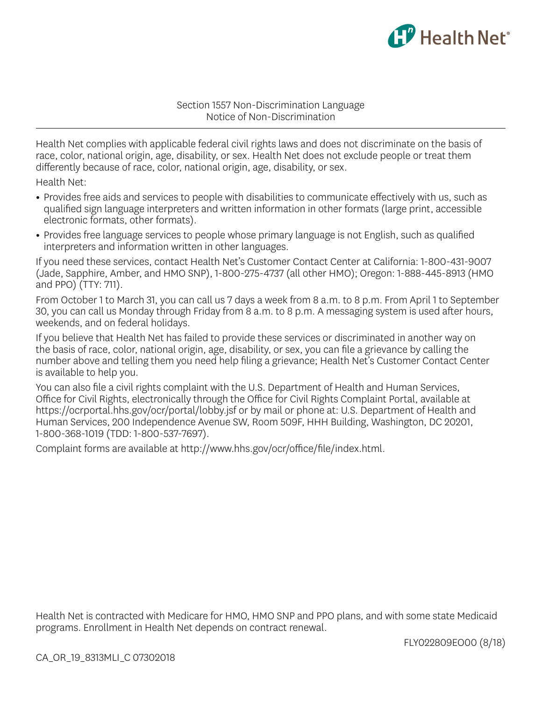

Section 1557 Non-Discrimination Language Notice of Non-Discrimination

Health Net complies with applicable federal civil rights laws and does not discriminate on the basis of race, color, national origin, age, disability, or sex. Health Net does not exclude people or treat them differently because of race, color, national origin, age, disability, or sex.

Health Net:

- **•** Provides free aids and services to people with disabilities to communicate effectively with us, such as qualified sign language interpreters and written information in other formats (large print, accessible electronic formats, other formats).
- **•** Provides free language services to people whose primary language is not English, such as qualified interpreters and information written in other languages.

If you need these services, contact Health Net's Customer Contact Center at California: 1-800-431-9007 (Jade, Sapphire, Amber, and HMO SNP), 1-800-275-4737 (all other HMO); Oregon: 1-888-445-8913 (HMO and PPO) (TTY: 711).

From October 1 to March 31, you can call us 7 days a week from 8 a.m. to 8 p.m. From April 1 to September 30, you can call us Monday through Friday from 8 a.m. to 8 p.m. A messaging system is used after hours, weekends, and on federal holidays.

If you believe that Health Net has failed to provide these services or discriminated in another way on the basis of race, color, national origin, age, disability, or sex, you can file a grievance by calling the number above and telling them you need help filing a grievance; Health Net's Customer Contact Center is available to help you.

You can also file a civil rights complaint with the U.S. Department of Health and Human Services, Office for Civil Rights, electronically through the Office for Civil Rights Complaint Portal, available at https://ocrportal.hhs.gov/ocr/portal/lobby.jsf or by mail or phone at: U.S. Department of Health and Human Services, 200 Independence Avenue SW, Room 509F, HHH Building, Washington, DC 20201, 1-800-368-1019 (TDD: 1-800-537-7697).

Complaint forms are available at http://www.hhs.gov/ocr/office/file/index.html.

Health Net is contracted with Medicare for HMO, HMO SNP and PPO plans, and with some state Medicaid programs. Enrollment in Health Net depends on contract renewal.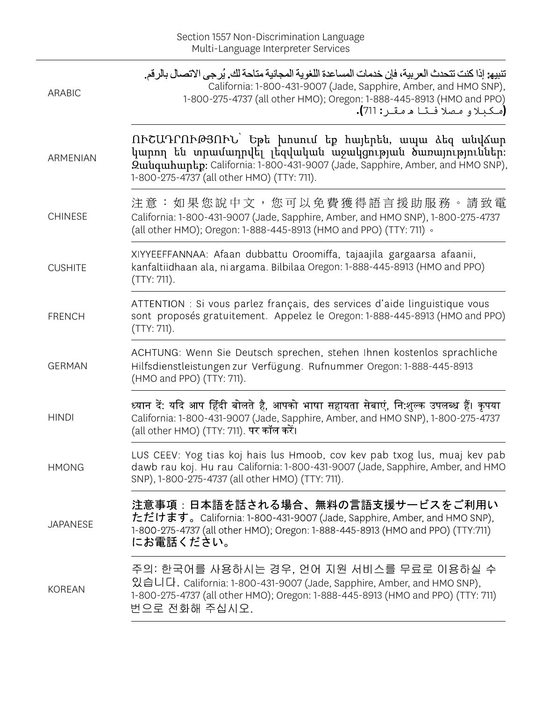| <b>ARABIC</b>   | تنبيه: إذا كنت تتحدث العربية، فإن خدمات المساعدة اللغوية المجانية متاحة لك. يُرجى الاتصال بالرقم.<br>California: 1-800-431-9007 (Jade, Sapphire, Amber, and HMO SNP),<br>1-800-275-4737 (all other HMO); Oregon: 1-888-445-8913 (HMO and PPO)<br>(مكبلاو مصلا فتا م مقـر: 711). |
|-----------------|---------------------------------------------------------------------------------------------------------------------------------------------------------------------------------------------------------------------------------------------------------------------------------|
| ARMENIAN        | ՈՒՇԱԴՐՈՒԹՅՈՒՆ` Եթե խոսում եք հայերեն, ապա ձեզ անվձար<br>կարող են տրամադրվել լեզվական աջակցության ծառայություններ։<br>Quiuquibuptp: California: 1-800-431-9007 (Jade, Sapphire, Amber, and HMO SNP),<br>1-800-275-4737 (all other HMO) (TTY: 711).                               |
| <b>CHINESE</b>  | 注意:如果您說中文,您可以免費獲得語言援助服務。請致電<br>California: 1-800-431-9007 (Jade, Sapphire, Amber, and HMO SNP), 1-800-275-4737<br>(all other HMO); Oregon: 1-888-445-8913 (HMO and PPO) (TTY: 711) 。                                                                                            |
| <b>CUSHITE</b>  | XIYYEEFFANNAA: Afaan dubbattu Oroomiffa, tajaajila gargaarsa afaanii,<br>kanfaltiidhaan ala, ni argama. Bilbilaa Oregon: 1-888-445-8913 (HMO and PPO)<br>(TTY: 711).                                                                                                            |
| <b>FRENCH</b>   | ATTENTION : Si vous parlez français, des services d'aide linguistique vous<br>sont proposés gratuitement. Appelez le Oregon: 1-888-445-8913 (HMO and PPO)<br>(TTY: 711).                                                                                                        |
| <b>GERMAN</b>   | ACHTUNG: Wenn Sie Deutsch sprechen, stehen Ihnen kostenlos sprachliche<br>Hilfsdienstleistungen zur Verfügung. Rufnummer Oregon: 1-888-445-8913<br>(HMO and PPO) (TTY: 711).                                                                                                    |
| <b>HINDI</b>    | ध्यान दें: यदि आप हिंदी बोलते है, आपको भाषा सहायता सेबाएं, नि:शुल्क उपलब्ध हैं। कृपया<br>California: 1-800-431-9007 (Jade, Sapphire, Amber, and HMO SNP), 1-800-275-4737<br>(all other HMO) (TTY: 711). पर कॉल करें।                                                            |
| <b>HMONG</b>    | LUS CEEV: Yog tias koj hais lus Hmoob, cov kev pab txog lus, muaj kev pab<br>dawb rau koj. Hu rau California: 1-800-431-9007 (Jade, Sapphire, Amber, and HMO<br>SNP), 1-800-275-4737 (all other HMO) (TTY: 711).                                                                |
| <b>JAPANESE</b> | 注意事項:日本語を話される場合、無料の言語支援サービスをご利用い<br>ただけます。California: 1-800-431-9007 (Jade, Sapphire, Amber, and HMO SNP),<br>1-800-275-4737 (all other HMO); Oregon: 1-888-445-8913 (HMO and PPO) (TTY:711)<br>にお電話ください。                                                                       |
| <b>KOREAN</b>   | 주의: 한국어를 사용하시는 경우, 언어 지원 서비스를 무료로 이용하실 수<br>있습니다. California: 1-800-431-9007 (Jade, Sapphire, Amber, and HMO SNP),<br>1-800-275-4737 (all other HMO); Oregon: 1-888-445-8913 (HMO and PPO) (TTY: 711)<br>번으로 전화해 주십시오.                                                          |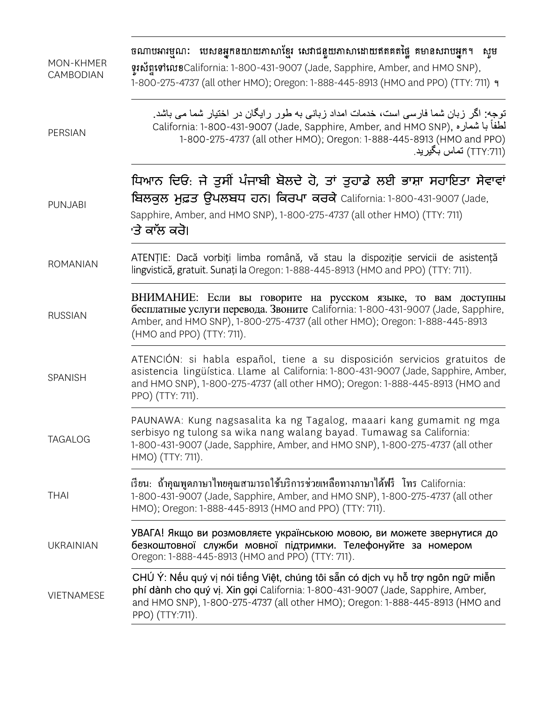| MON-KHMER<br>CAMBODIAN | ចណាបអារម្មណៈ បេសនអ្នកនយាយភាសាខ្មែរ សេវាជនួយភាសាដោយឥតគតផ្ទៃ គមានសរាបអ្នក។ សូម<br>ទុះស័ព្ទទៅលេខCalifornia: 1-800-431-9007 (Jade, Sapphire, Amber, and HMO SNP),<br>1-800-275-4737 (all other HMO); Oregon: 1-888-445-8913 (HMO and PPO) (TTY: 711) ។                         |
|------------------------|----------------------------------------------------------------------------------------------------------------------------------------------------------------------------------------------------------------------------------------------------------------------------|
| <b>PERSIAN</b>         | توجه: اگر زبان شما فارسی است، خدمات امداد زبانی به طور رایگان در اختیار شما می باشد.<br>California: 1-800-431-9007 (Jade, Sapphire, Amber, and HMO SNP), فطفأ با شماره<br>1-800-275-4737 (all other HMO); Oregon: 1-888-445-8913 (HMO and PPO)<br>ِ (TTY:711) تماس بگيريد. |
| <b>PUNJABI</b>         | ਧਿਆਨ ਦਿਓ: ਜੇ ਤੁਸੀਂ ਪੰਜਾਬੀ ਬੋਲਦੇ ਹੋ, ਤਾਂ ਤੁਹਾਡੇ ਲਈ ਭਾਸ਼ਾ ਸਹਾਇਤਾ ਸੇਵਾਵਾਂ<br>ਬਿਲਕੁਲ ਮੁਫ਼ਤ ਉਪਲਬਧ ਹਨ। ਕਿਰਪਾ ਕਰਕੇ California: 1-800-431-9007 (Jade,<br>Sapphire, Amber, and HMO SNP), 1-800-275-4737 (all other HMO) (TTY: 711)<br>'ਤੇ ਕਾੱਲ ਕਰੋ।                                 |
| <b>ROMANIAN</b>        | ATENȚIE: Dacă vorbiți limba română, vă stau la dispoziție servicii de asistență<br>lingvistică, gratuit. Sunați la Oregon: 1-888-445-8913 (HMO and PPO) (TTY: 711).                                                                                                        |
| <b>RUSSIAN</b>         | ВНИМАНИЕ: Если вы говорите на русском языке, то вам доступны<br>бесплатные услуги перевода. Звоните California: 1-800-431-9007 (Jade, Sapphire,<br>Amber, and HMO SNP), 1-800-275-4737 (all other HMO); Oregon: 1-888-445-8913<br>(HMO and PPO) (TTY: 711).                |
| SPANISH                | ATENCIÓN: si habla español, tiene a su disposición servicios gratuitos de<br>asistencia lingüística. Llame al California: 1-800-431-9007 (Jade, Sapphire, Amber,<br>and HMO SNP), 1-800-275-4737 (all other HMO); Oregon: 1-888-445-8913 (HMO and<br>PPO) (TTY: 711).      |
| <b>TAGALOG</b>         | PAUNAWA: Kung nagsasalita ka ng Tagalog, maaari kang gumamit ng mga<br>serbisyo ng tulong sa wika nang walang bayad. Tumawag sa California:<br>1-800-431-9007 (Jade, Sapphire, Amber, and HMO SNP), 1-800-275-4737 (all other<br>HMO) (TTY: 711).                          |
| <b>THAI</b>            | เรียน: ถ้าคุณพูดภาษาไทยคุณสามารถใช้บริการช่วยเหลือทางภาษาได้ฟรี โทร California:<br>1-800-431-9007 (Jade, Sapphire, Amber, and HMO SNP), 1-800-275-4737 (all other<br>HMO); Oregon: 1-888-445-8913 (HMO and PPO) (TTY: 711).                                                |
| <b>UKRAINIAN</b>       | УВАГА! Якщо ви розмовляєте українською мовою, ви можете звернутися до<br>безкоштовної служби мовної підтримки. Телефонуйте за номером<br>Oregon: 1-888-445-8913 (HMO and PPO) (TTY: 711).                                                                                  |
| <b>VIETNAMESE</b>      | CHÚ Ý: Nếu quý vị nói tiếng Việt, chúng tôi sẵn có dịch vụ hỗ trợ ngôn ngữ miễn<br>phí dành cho quý vị. Xin gọi California: 1-800-431-9007 (Jade, Sapphire, Amber,<br>and HMO SNP), 1-800-275-4737 (all other HMO); Oregon: 1-888-445-8913 (HMO and<br>PPO) (TTY:711).     |